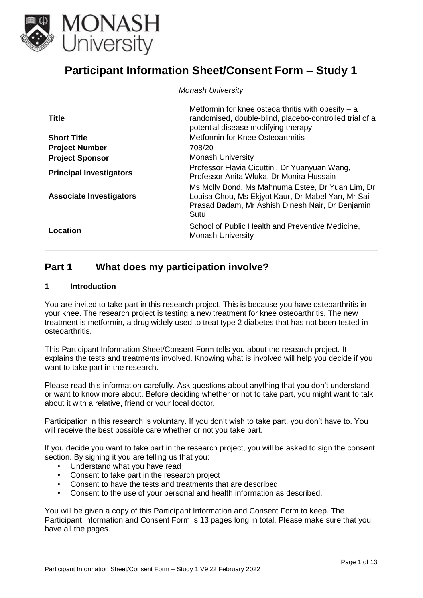

# **Participant Information Sheet/Consent Form – Study 1**

*Monash University*

| <b>Title</b>                   | Metformin for knee osteoarthritis with obesity $- a$<br>randomised, double-blind, placebo-controlled trial of a<br>potential disease modifying therapy            |
|--------------------------------|-------------------------------------------------------------------------------------------------------------------------------------------------------------------|
| <b>Short Title</b>             | <b>Metformin for Knee Osteoarthritis</b>                                                                                                                          |
| <b>Project Number</b>          | 708/20                                                                                                                                                            |
| <b>Project Sponsor</b>         | <b>Monash University</b>                                                                                                                                          |
| <b>Principal Investigators</b> | Professor Flavia Cicuttini, Dr Yuanyuan Wang,<br>Professor Anita Wluka, Dr Monira Hussain                                                                         |
| <b>Associate Investigators</b> | Ms Molly Bond, Ms Mahnuma Estee, Dr Yuan Lim, Dr<br>Louisa Chou, Ms Ekjyot Kaur, Dr Mabel Yan, Mr Sai<br>Prasad Badam, Mr Ashish Dinesh Nair, Dr Benjamin<br>Sutu |
| Location                       | School of Public Health and Preventive Medicine,<br><b>Monash University</b>                                                                                      |

## **Part 1 What does my participation involve?**

#### **1 Introduction**

You are invited to take part in this research project. This is because you have osteoarthritis in your knee. The research project is testing a new treatment for knee osteoarthritis. The new treatment is metformin, a drug widely used to treat type 2 diabetes that has not been tested in osteoarthritis.

This Participant Information Sheet/Consent Form tells you about the research project. It explains the tests and treatments involved. Knowing what is involved will help you decide if you want to take part in the research.

Please read this information carefully. Ask questions about anything that you don't understand or want to know more about. Before deciding whether or not to take part, you might want to talk about it with a relative, friend or your local doctor.

Participation in this research is voluntary. If you don't wish to take part, you don't have to. You will receive the best possible care whether or not you take part.

If you decide you want to take part in the research project, you will be asked to sign the consent section. By signing it you are telling us that you:

- Understand what you have read
- Consent to take part in the research project
- Consent to have the tests and treatments that are described
- Consent to the use of your personal and health information as described.

You will be given a copy of this Participant Information and Consent Form to keep. The Participant Information and Consent Form is 13 pages long in total. Please make sure that you have all the pages.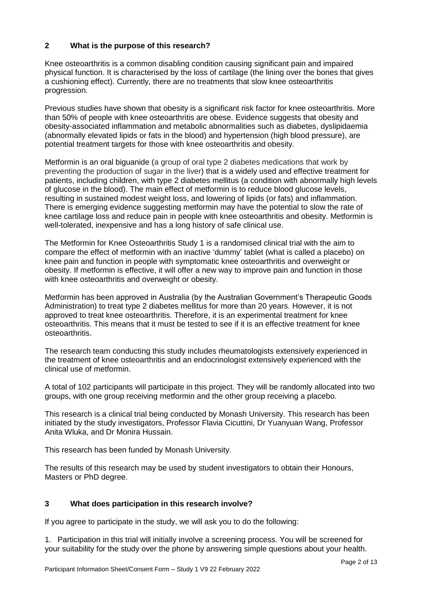## **2 What is the purpose of this research?**

Knee osteoarthritis is a common disabling condition causing significant pain and impaired physical function. It is characterised by the loss of cartilage (the lining over the bones that gives a cushioning effect). Currently, there are no treatments that slow knee osteoarthritis progression.

Previous studies have shown that obesity is a significant risk factor for knee osteoarthritis. More than 50% of people with knee osteoarthritis are obese. Evidence suggests that obesity and obesity-associated inflammation and metabolic abnormalities such as diabetes, dyslipidaemia (abnormally elevated lipids or fats in the blood) and hypertension (high blood pressure), are potential treatment targets for those with knee osteoarthritis and obesity.

Metformin is an oral biguanide (a group of oral type 2 diabetes medications that work by preventing the production of sugar in the liver) that is a widely used and effective treatment for patients, including children, with type 2 diabetes mellitus (a condition with abnormally high levels of glucose in the blood). The main effect of metformin is to reduce blood glucose levels, resulting in sustained modest weight loss, and lowering of lipids (or fats) and inflammation. There is emerging evidence suggesting metformin may have the potential to slow the rate of knee cartilage loss and reduce pain in people with knee osteoarthritis and obesity. Metformin is well-tolerated, inexpensive and has a long history of safe clinical use.

The Metformin for Knee Osteoarthritis Study 1 is a randomised clinical trial with the aim to compare the effect of metformin with an inactive 'dummy' tablet (what is called a placebo) on knee pain and function in people with symptomatic knee osteoarthritis and overweight or obesity. If metformin is effective, it will offer a new way to improve pain and function in those with knee osteoarthritis and overweight or obesity.

Metformin has been approved in Australia (by the Australian Government's Therapeutic Goods Administration) to treat type 2 diabetes mellitus for more than 20 years. However, it is not approved to treat knee osteoarthritis. Therefore, it is an experimental treatment for knee osteoarthritis. This means that it must be tested to see if it is an effective treatment for knee osteoarthritis.

The research team conducting this study includes rheumatologists extensively experienced in the treatment of knee osteoarthritis and an endocrinologist extensively experienced with the clinical use of metformin.

A total of 102 participants will participate in this project. They will be randomly allocated into two groups, with one group receiving metformin and the other group receiving a placebo.

This research is a clinical trial being conducted by Monash University. This research has been initiated by the study investigators, Professor Flavia Cicuttini, Dr Yuanyuan Wang, Professor Anita Wluka, and Dr Monira Hussain.

This research has been funded by Monash University.

The results of this research may be used by student investigators to obtain their Honours, Masters or PhD degree.

## **3 What does participation in this research involve?**

If you agree to participate in the study, we will ask you to do the following:

1. Participation in this trial will initially involve a screening process. You will be screened for your suitability for the study over the phone by answering simple questions about your health.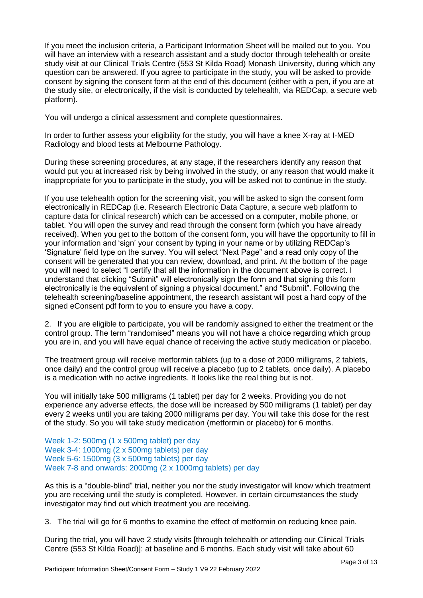If you meet the inclusion criteria, a Participant Information Sheet will be mailed out to you. You will have an interview with a research assistant and a study doctor through telehealth or onsite study visit at our Clinical Trials Centre (553 St Kilda Road) Monash University, during which any question can be answered. If you agree to participate in the study, you will be asked to provide consent by signing the consent form at the end of this document (either with a pen, if you are at the study site, or electronically, if the visit is conducted by telehealth, via REDCap, a secure web platform).

You will undergo a clinical assessment and complete questionnaires.

In order to further assess your eligibility for the study, you will have a knee X-ray at I-MED Radiology and blood tests at Melbourne Pathology.

During these screening procedures, at any stage, if the researchers identify any reason that would put you at increased risk by being involved in the study, or any reason that would make it inappropriate for you to participate in the study, you will be asked not to continue in the study.

If you use telehealth option for the screening visit, you will be asked to sign the consent form electronically in REDCap (i.e. Research Electronic Data Capture, a secure web platform to capture data for clinical research) which can be accessed on a computer, mobile phone, or tablet. You will open the survey and read through the consent form (which you have already received). When you get to the bottom of the consent form, you will have the opportunity to fill in your information and 'sign' your consent by typing in your name or by utilizing REDCap's 'Signature' field type on the survey. You will select "Next Page" and a read only copy of the consent will be generated that you can review, download, and print. At the bottom of the page you will need to select "I certify that all the information in the document above is correct. I understand that clicking "Submit" will electronically sign the form and that signing this form electronically is the equivalent of signing a physical document." and "Submit". Following the telehealth screening/baseline appointment, the research assistant will post a hard copy of the signed eConsent pdf form to you to ensure you have a copy.

2. If you are eligible to participate, you will be randomly assigned to either the treatment or the control group. The term "randomised" means you will not have a choice regarding which group you are in, and you will have equal chance of receiving the active study medication or placebo.

The treatment group will receive metformin tablets (up to a dose of 2000 milligrams, 2 tablets, once daily) and the control group will receive a placebo (up to 2 tablets, once daily). A placebo is a medication with no active ingredients. It looks like the real thing but is not.

You will initially take 500 milligrams (1 tablet) per day for 2 weeks. Providing you do not experience any adverse effects, the dose will be increased by 500 milligrams (1 tablet) per day every 2 weeks until you are taking 2000 milligrams per day. You will take this dose for the rest of the study. So you will take study medication (metformin or placebo) for 6 months.

Week 1-2: 500mg (1 x 500mg tablet) per day Week 3-4: 1000mg (2 x 500mg tablets) per day Week 5-6: 1500mg (3 x 500mg tablets) per day Week 7-8 and onwards: 2000mg (2 x 1000mg tablets) per day

As this is a "double-blind" trial, neither you nor the study investigator will know which treatment you are receiving until the study is completed. However, in certain circumstances the study investigator may find out which treatment you are receiving.

3. The trial will go for 6 months to examine the effect of metformin on reducing knee pain.

During the trial, you will have 2 study visits [through telehealth or attending our Clinical Trials Centre (553 St Kilda Road)]: at baseline and 6 months. Each study visit will take about 60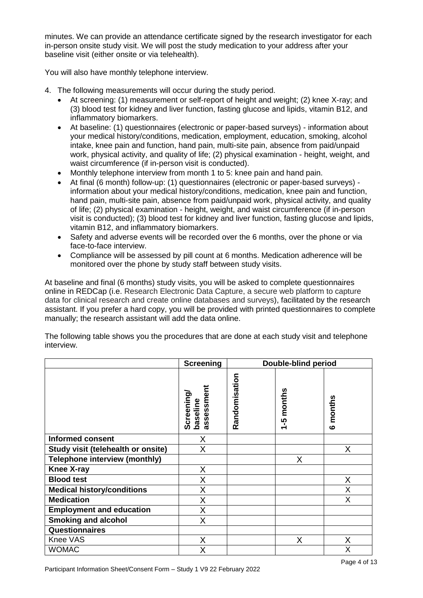minutes. We can provide an attendance certificate signed by the research investigator for each in-person onsite study visit. We will post the study medication to your address after your baseline visit (either onsite or via telehealth).

You will also have monthly telephone interview.

- 4. The following measurements will occur during the study period.
	- At screening: (1) measurement or self-report of height and weight; (2) knee X-ray; and (3) blood test for kidney and liver function, fasting glucose and lipids, vitamin B12, and inflammatory biomarkers.
	- At baseline: (1) questionnaires (electronic or paper-based surveys) information about your medical history/conditions, medication, employment, education, smoking, alcohol intake, knee pain and function, hand pain, multi-site pain, absence from paid/unpaid work, physical activity, and quality of life; (2) physical examination - height, weight, and waist circumference (if in-person visit is conducted).
	- Monthly telephone interview from month 1 to 5: knee pain and hand pain.
	- At final (6 month) follow-up: (1) questionnaires (electronic or paper-based surveys) information about your medical history/conditions, medication, knee pain and function, hand pain, multi-site pain, absence from paid/unpaid work, physical activity, and quality of life; (2) physical examination - height, weight, and waist circumference (if in-person visit is conducted); (3) blood test for kidney and liver function, fasting glucose and lipids, vitamin B12, and inflammatory biomarkers.
	- Safety and adverse events will be recorded over the 6 months, over the phone or via face-to-face interview.
	- Compliance will be assessed by pill count at 6 months. Medication adherence will be monitored over the phone by study staff between study visits.

At baseline and final (6 months) study visits, you will be asked to complete questionnaires online in REDCap (i.e. Research Electronic Data Capture, a secure web platform to capture data for clinical research and create online databases and surveys), facilitated by the research assistant. If you prefer a hard copy, you will be provided with printed questionnaires to complete manually; the research assistant will add the data online.

|                                      | <b>Screening</b>                    |               | Double-blind period                          |                        |
|--------------------------------------|-------------------------------------|---------------|----------------------------------------------|------------------------|
|                                      | assessment<br>Screening<br>baseline | Randomisation | months<br>ပ္ပ္ကာ<br>$\overline{\phantom{0}}$ | months<br>$\mathbf{o}$ |
| <b>Informed consent</b>              | Χ                                   |               |                                              |                        |
| Study visit (telehealth or onsite)   | Χ                                   |               |                                              | X                      |
| <b>Telephone interview (monthly)</b> |                                     |               | X                                            |                        |
| <b>Knee X-ray</b>                    | X                                   |               |                                              |                        |
| <b>Blood test</b>                    | X                                   |               |                                              | X                      |
| <b>Medical history/conditions</b>    | Χ                                   |               |                                              | X                      |
| <b>Medication</b>                    | Χ                                   |               |                                              | X                      |
| <b>Employment and education</b>      | Χ                                   |               |                                              |                        |
| <b>Smoking and alcohol</b>           | X                                   |               |                                              |                        |
| <b>Questionnaires</b>                |                                     |               |                                              |                        |
| Knee VAS                             | Χ                                   |               | X                                            | X                      |
| <b>WOMAC</b>                         | Χ                                   |               |                                              | Χ                      |

The following table shows you the procedures that are done at each study visit and telephone interview.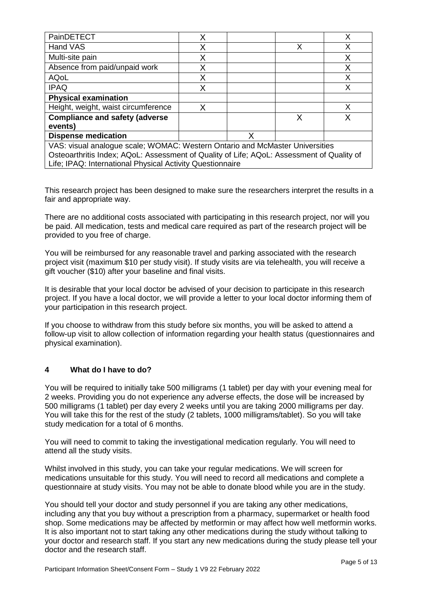| PainDETECT                                                                                | Χ |  |   |   |
|-------------------------------------------------------------------------------------------|---|--|---|---|
| Hand VAS                                                                                  | Χ |  | X |   |
| Multi-site pain                                                                           | Χ |  |   |   |
| Absence from paid/unpaid work                                                             | X |  |   |   |
| <b>AQoL</b>                                                                               | Χ |  |   | X |
| <b>IPAQ</b>                                                                               | X |  |   |   |
| <b>Physical examination</b>                                                               |   |  |   |   |
| Height, weight, waist circumference                                                       | X |  |   | x |
| <b>Compliance and safety (adverse</b><br>X                                                |   |  |   |   |
| events)                                                                                   |   |  |   |   |
| <b>Dispense medication</b><br>Χ                                                           |   |  |   |   |
| VAS: visual analogue scale; WOMAC: Western Ontario and McMaster Universities              |   |  |   |   |
| Osteoarthritis Index; AQoL: Assessment of Quality of Life; AQoL: Assessment of Quality of |   |  |   |   |
| Life; IPAQ: International Physical Activity Questionnaire                                 |   |  |   |   |

This research project has been designed to make sure the researchers interpret the results in a fair and appropriate way.

There are no additional costs associated with participating in this research project, nor will you be paid. All medication, tests and medical care required as part of the research project will be provided to you free of charge.

You will be reimbursed for any reasonable travel and parking associated with the research project visit (maximum \$10 per study visit). If study visits are via telehealth, you will receive a gift voucher (\$10) after your baseline and final visits.

It is desirable that your local doctor be advised of your decision to participate in this research project. If you have a local doctor, we will provide a letter to your local doctor informing them of your participation in this research project.

If you choose to withdraw from this study before six months, you will be asked to attend a follow-up visit to allow collection of information regarding your health status (questionnaires and physical examination).

## **4 What do I have to do?**

You will be required to initially take 500 milligrams (1 tablet) per day with your evening meal for 2 weeks. Providing you do not experience any adverse effects, the dose will be increased by 500 milligrams (1 tablet) per day every 2 weeks until you are taking 2000 milligrams per day. You will take this for the rest of the study (2 tablets, 1000 milligrams/tablet). So you will take study medication for a total of 6 months.

You will need to commit to taking the investigational medication regularly. You will need to attend all the study visits.

Whilst involved in this study, you can take your regular medications. We will screen for medications unsuitable for this study. You will need to record all medications and complete a questionnaire at study visits. You may not be able to donate blood while you are in the study.

You should tell your doctor and study personnel if you are taking any other medications, including any that you buy without a prescription from a pharmacy, supermarket or health food shop. Some medications may be affected by metformin or may affect how well metformin works. It is also important not to start taking any other medications during the study without talking to your doctor and research staff. If you start any new medications during the study please tell your doctor and the research staff.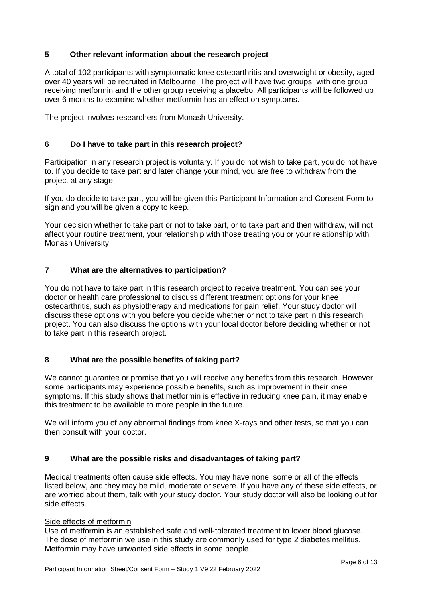## **5 Other relevant information about the research project**

A total of 102 participants with symptomatic knee osteoarthritis and overweight or obesity, aged over 40 years will be recruited in Melbourne. The project will have two groups, with one group receiving metformin and the other group receiving a placebo. All participants will be followed up over 6 months to examine whether metformin has an effect on symptoms.

The project involves researchers from Monash University.

## **6 Do I have to take part in this research project?**

Participation in any research project is voluntary. If you do not wish to take part, you do not have to. If you decide to take part and later change your mind, you are free to withdraw from the project at any stage.

If you do decide to take part, you will be given this Participant Information and Consent Form to sign and you will be given a copy to keep.

Your decision whether to take part or not to take part, or to take part and then withdraw, will not affect your routine treatment, your relationship with those treating you or your relationship with Monash University.

## **7 What are the alternatives to participation?**

You do not have to take part in this research project to receive treatment. You can see your doctor or health care professional to discuss different treatment options for your knee osteoarthritis, such as physiotherapy and medications for pain relief. Your study doctor will discuss these options with you before you decide whether or not to take part in this research project. You can also discuss the options with your local doctor before deciding whether or not to take part in this research project.

## **8 What are the possible benefits of taking part?**

We cannot quarantee or promise that you will receive any benefits from this research. However, some participants may experience possible benefits, such as improvement in their knee symptoms. If this study shows that metformin is effective in reducing knee pain, it may enable this treatment to be available to more people in the future.

We will inform you of any abnormal findings from knee X-rays and other tests, so that you can then consult with your doctor.

## **9 What are the possible risks and disadvantages of taking part?**

Medical treatments often cause side effects. You may have none, some or all of the effects listed below, and they may be mild, moderate or severe. If you have any of these side effects, or are worried about them, talk with your study doctor. Your study doctor will also be looking out for side effects.

#### Side effects of metformin

Use of metformin is an established safe and well-tolerated treatment to lower blood glucose. The dose of metformin we use in this study are commonly used for type 2 diabetes mellitus. Metformin may have unwanted side effects in some people.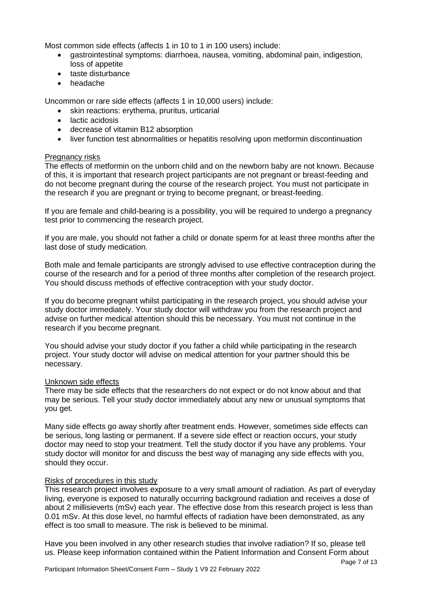Most common side effects (affects 1 in 10 to 1 in 100 users) include:

- gastrointestinal symptoms: diarrhoea, nausea, vomiting, abdominal pain, indigestion, loss of appetite
- taste disturbance
- headache

Uncommon or rare side effects (affects 1 in 10,000 users) include:

- skin reactions: erythema, pruritus, urticarial
- lactic acidosis
- decrease of vitamin B12 absorption
- liver function test abnormalities or hepatitis resolving upon metformin discontinuation

## Pregnancy risks

The effects of metformin on the unborn child and on the newborn baby are not known. Because of this, it is important that research project participants are not pregnant or breast-feeding and do not become pregnant during the course of the research project. You must not participate in the research if you are pregnant or trying to become pregnant, or breast-feeding.

If you are female and child-bearing is a possibility, you will be required to undergo a pregnancy test prior to commencing the research project.

If you are male, you should not father a child or donate sperm for at least three months after the last dose of study medication.

Both male and female participants are strongly advised to use effective contraception during the course of the research and for a period of three months after completion of the research project. You should discuss methods of effective contraception with your study doctor.

If you do become pregnant whilst participating in the research project, you should advise your study doctor immediately. Your study doctor will withdraw you from the research project and advise on further medical attention should this be necessary. You must not continue in the research if you become pregnant.

You should advise your study doctor if you father a child while participating in the research project. Your study doctor will advise on medical attention for your partner should this be necessary.

## Unknown side effects

There may be side effects that the researchers do not expect or do not know about and that may be serious. Tell your study doctor immediately about any new or unusual symptoms that you get.

Many side effects go away shortly after treatment ends. However, sometimes side effects can be serious, long lasting or permanent. If a severe side effect or reaction occurs, your study doctor may need to stop your treatment. Tell the study doctor if you have any problems. Your study doctor will monitor for and discuss the best way of managing any side effects with you, should they occur.

## Risks of procedures in this study

This research project involves exposure to a very small amount of radiation. As part of everyday living, everyone is exposed to naturally occurring background radiation and receives a dose of about 2 millisieverts (mSv) each year. The effective dose from this research project is less than 0.01 mSv. At this dose level, no harmful effects of radiation have been demonstrated, as any effect is too small to measure. The risk is believed to be minimal.

Have you been involved in any other research studies that involve radiation? If so, please tell us. Please keep information contained within the Patient Information and Consent Form about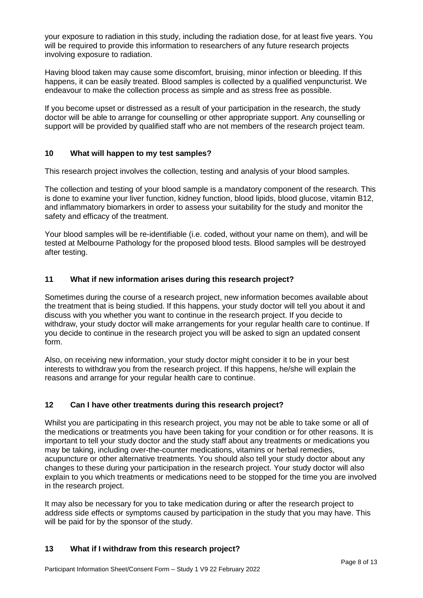your exposure to radiation in this study, including the radiation dose, for at least five years. You will be required to provide this information to researchers of any future research projects involving exposure to radiation.

Having blood taken may cause some discomfort, bruising, minor infection or bleeding. If this happens, it can be easily treated. Blood samples is collected by a qualified venpuncturist. We endeavour to make the collection process as simple and as stress free as possible.

If you become upset or distressed as a result of your participation in the research, the study doctor will be able to arrange for counselling or other appropriate support. Any counselling or support will be provided by qualified staff who are not members of the research project team.

## **10 What will happen to my test samples?**

This research project involves the collection, testing and analysis of your blood samples.

The collection and testing of your blood sample is a mandatory component of the research. This is done to examine your liver function, kidney function, blood lipids, blood glucose, vitamin B12, and inflammatory biomarkers in order to assess your suitability for the study and monitor the safety and efficacy of the treatment.

Your blood samples will be re-identifiable (i.e. coded, without your name on them), and will be tested at Melbourne Pathology for the proposed blood tests. Blood samples will be destroyed after testing.

## **11 What if new information arises during this research project?**

Sometimes during the course of a research project, new information becomes available about the treatment that is being studied. If this happens, your study doctor will tell you about it and discuss with you whether you want to continue in the research project. If you decide to withdraw, your study doctor will make arrangements for your regular health care to continue. If you decide to continue in the research project you will be asked to sign an updated consent form.

Also, on receiving new information, your study doctor might consider it to be in your best interests to withdraw you from the research project. If this happens, he/she will explain the reasons and arrange for your regular health care to continue.

## **12 Can I have other treatments during this research project?**

Whilst you are participating in this research project, you may not be able to take some or all of the medications or treatments you have been taking for your condition or for other reasons. It is important to tell your study doctor and the study staff about any treatments or medications you may be taking, including over-the-counter medications, vitamins or herbal remedies, acupuncture or other alternative treatments. You should also tell your study doctor about any changes to these during your participation in the research project. Your study doctor will also explain to you which treatments or medications need to be stopped for the time you are involved in the research project.

It may also be necessary for you to take medication during or after the research project to address side effects or symptoms caused by participation in the study that you may have. This will be paid for by the sponsor of the study.

#### **13 What if I withdraw from this research project?**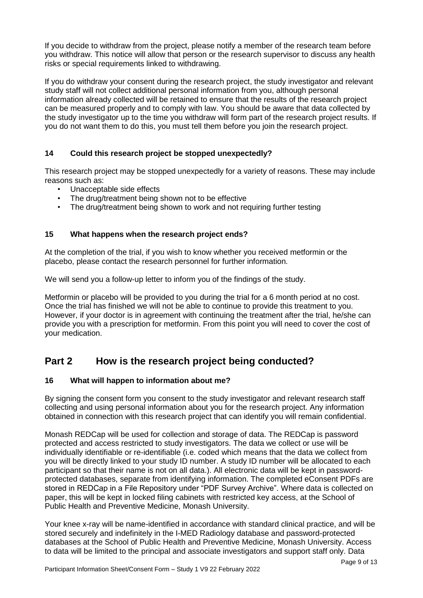If you decide to withdraw from the project, please notify a member of the research team before you withdraw. This notice will allow that person or the research supervisor to discuss any health risks or special requirements linked to withdrawing.

If you do withdraw your consent during the research project, the study investigator and relevant study staff will not collect additional personal information from you, although personal information already collected will be retained to ensure that the results of the research project can be measured properly and to comply with law. You should be aware that data collected by the study investigator up to the time you withdraw will form part of the research project results. If you do not want them to do this, you must tell them before you join the research project.

## **14 Could this research project be stopped unexpectedly?**

This research project may be stopped unexpectedly for a variety of reasons. These may include reasons such as:

- Unacceptable side effects
- The drug/treatment being shown not to be effective
- The drug/treatment being shown to work and not requiring further testing

## **15 What happens when the research project ends?**

At the completion of the trial, if you wish to know whether you received metformin or the placebo, please contact the research personnel for further information.

We will send you a follow-up letter to inform you of the findings of the study.

Metformin or placebo will be provided to you during the trial for a 6 month period at no cost. Once the trial has finished we will not be able to continue to provide this treatment to you. However, if your doctor is in agreement with continuing the treatment after the trial, he/she can provide you with a prescription for metformin. From this point you will need to cover the cost of your medication.

## **Part 2 How is the research project being conducted?**

#### **16 What will happen to information about me?**

By signing the consent form you consent to the study investigator and relevant research staff collecting and using personal information about you for the research project. Any information obtained in connection with this research project that can identify you will remain confidential.

Monash REDCap will be used for collection and storage of data. The REDCap is password protected and access restricted to study investigators. The data we collect or use will be individually identifiable or re-identifiable (i.e. coded which means that the data we collect from you will be directly linked to your study ID number. A study ID number will be allocated to each participant so that their name is not on all data.). All electronic data will be kept in passwordprotected databases, separate from identifying information. The completed eConsent PDFs are stored in REDCap in a File Repository under "PDF Survey Archive". Where data is collected on paper, this will be kept in locked filing cabinets with restricted key access, at the School of Public Health and Preventive Medicine, Monash University.

Your knee x-ray will be name-identified in accordance with standard clinical practice, and will be stored securely and indefinitely in the I-MED Radiology database and password-protected databases at the School of Public Health and Preventive Medicine, Monash University. Access to data will be limited to the principal and associate investigators and support staff only. Data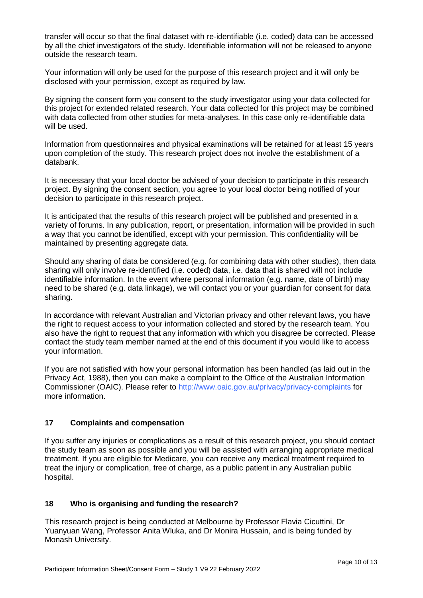transfer will occur so that the final dataset with re-identifiable (i.e. coded) data can be accessed by all the chief investigators of the study. Identifiable information will not be released to anyone outside the research team.

Your information will only be used for the purpose of this research project and it will only be disclosed with your permission, except as required by law.

By signing the consent form you consent to the study investigator using your data collected for this project for extended related research. Your data collected for this project may be combined with data collected from other studies for meta-analyses. In this case only re-identifiable data will be used.

Information from questionnaires and physical examinations will be retained for at least 15 years upon completion of the study. This research project does not involve the establishment of a databank.

It is necessary that your local doctor be advised of your decision to participate in this research project. By signing the consent section, you agree to your local doctor being notified of your decision to participate in this research project.

It is anticipated that the results of this research project will be published and presented in a variety of forums. In any publication, report, or presentation, information will be provided in such a way that you cannot be identified, except with your permission. This confidentiality will be maintained by presenting aggregate data.

Should any sharing of data be considered (e.g. for combining data with other studies), then data sharing will only involve re-identified (i.e. coded) data, i.e. data that is shared will not include identifiable information. In the event where personal information (e.g. name, date of birth) may need to be shared (e.g. data linkage), we will contact you or your guardian for consent for data sharing.

In accordance with relevant Australian and Victorian privacy and other relevant laws, you have the right to request access to your information collected and stored by the research team. You also have the right to request that any information with which you disagree be corrected. Please contact the study team member named at the end of this document if you would like to access your information.

If you are not satisfied with how your personal information has been handled (as laid out in the Privacy Act, 1988), then you can make a complaint to the Office of the Australian Information Commissioner (OAIC). Please refer to<http://www.oaic.gov.au/privacy/privacy-complaints> for more information.

## **17 Complaints and compensation**

If you suffer any injuries or complications as a result of this research project, you should contact the study team as soon as possible and you will be assisted with arranging appropriate medical treatment. If you are eligible for Medicare, you can receive any medical treatment required to treat the injury or complication, free of charge, as a public patient in any Australian public hospital.

## **18 Who is organising and funding the research?**

This research project is being conducted at Melbourne by Professor Flavia Cicuttini, Dr Yuanyuan Wang, Professor Anita Wluka, and Dr Monira Hussain, and is being funded by Monash University.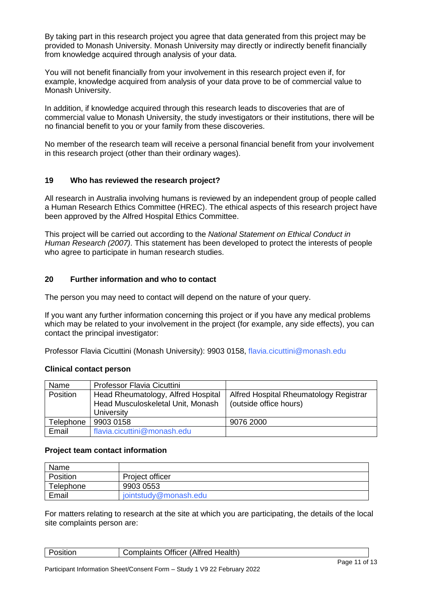By taking part in this research project you agree that data generated from this project may be provided to Monash University. Monash University may directly or indirectly benefit financially from knowledge acquired through analysis of your data.

You will not benefit financially from your involvement in this research project even if, for example, knowledge acquired from analysis of your data prove to be of commercial value to Monash University.

In addition, if knowledge acquired through this research leads to discoveries that are of commercial value to Monash University, the study investigators or their institutions, there will be no financial benefit to you or your family from these discoveries.

No member of the research team will receive a personal financial benefit from your involvement in this research project (other than their ordinary wages).

## **19 Who has reviewed the research project?**

All research in Australia involving humans is reviewed by an independent group of people called a Human Research Ethics Committee (HREC). The ethical aspects of this research project have been approved by the Alfred Hospital Ethics Committee.

This project will be carried out according to the *National Statement on Ethical Conduct in Human Research (2007)*. This statement has been developed to protect the interests of people who agree to participate in human research studies.

## **20 Further information and who to contact**

The person you may need to contact will depend on the nature of your query.

If you want any further information concerning this project or if you have any medical problems which may be related to your involvement in the project (for example, any side effects), you can contact the principal investigator:

Professor Flavia Cicuttini (Monash University): 9903 0158, [flavia.cicuttini@monash.edu](mailto:flavia.cicuttini@monash.edu)

#### **Clinical contact person**

| Name            | <b>Professor Flavia Cicuttini</b>  |                                        |
|-----------------|------------------------------------|----------------------------------------|
| <b>Position</b> | Head Rheumatology, Alfred Hospital | Alfred Hospital Rheumatology Registrar |
|                 | Head Musculoskeletal Unit, Monash  | (outside office hours)                 |
|                 | University                         |                                        |
| Telephone       | 9903 0158                          | 9076 2000                              |
| Email           | flavia.cicuttini@monash.edu        |                                        |

#### **Project team contact information**

| Name      |                       |
|-----------|-----------------------|
| Position  | Project officer       |
| Telephone | 9903 0553             |
| Email     | jointstudy@monash.edu |

For matters relating to research at the site at which you are participating, the details of the local site complaints person are:

| <b>Position</b> | <b>Complaints Officer (Alfred Health)</b> |             |
|-----------------|-------------------------------------------|-------------|
|                 |                                           | $D = 44.44$ |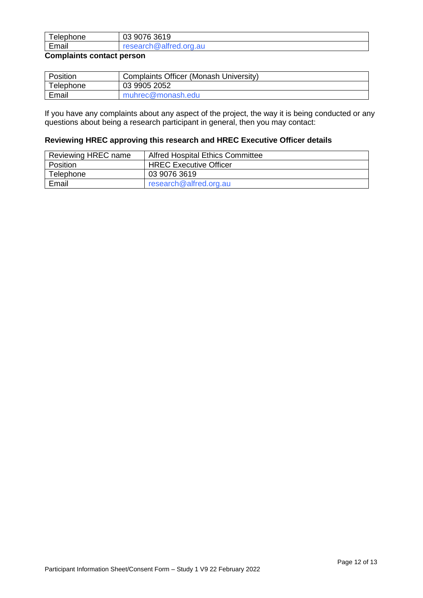| Telephone | 9076 3619<br>03        |
|-----------|------------------------|
| Email     | research@alfred.org.au |
| $\sim$    |                        |

#### **Complaints contact person**

| Position  | Complaints Officer (Monash University) |
|-----------|----------------------------------------|
| Telephone | 03 9905 2052                           |
| Email     | muhrec@monash.edu                      |

If you have any complaints about any aspect of the project, the way it is being conducted or any questions about being a research participant in general, then you may contact:

#### **Reviewing HREC approving this research and HREC Executive Officer details**

| Reviewing HREC name | <b>Alfred Hospital Ethics Committee</b> |
|---------------------|-----------------------------------------|
| Position            | <b>HREC Executive Officer</b>           |
| Telephone           | 03 9076 3619                            |
| Email               | research@alfred.org.au                  |